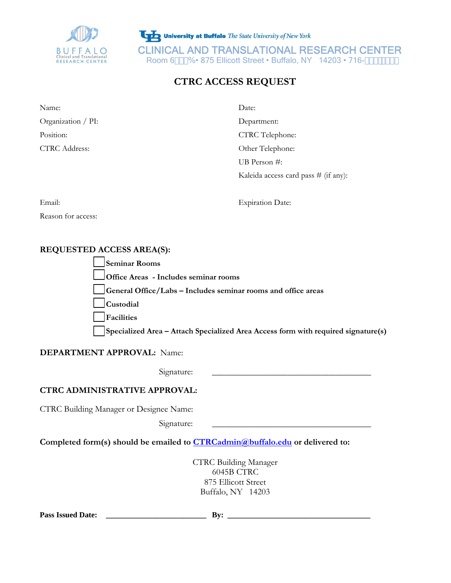

University at Buffalo The State University of New York CLINICAL AND TRANSLATIONAL RESEARCH CENTER<br>Room 6\$() 6 • 875 Ellicott Street • Buffalo, NY 14203 • 716-, , , !(+' \$

# **CTRC ACCESS REQUEST**

| Name:              | Date:                                  |
|--------------------|----------------------------------------|
| Organization / PI: | Department:                            |
| Position:          | <b>CTRC</b> Telephone:                 |
| CTRC Address:      | Other Telephone:                       |
|                    | UB Person $#$ :                        |
|                    | Kaleida access card pass $#$ (if any): |

Email: Expiration Date:

Reason for access:

## **REQUESTED ACCESS AREA(S):**

| Seminar Rooms                                                                     |
|-----------------------------------------------------------------------------------|
| <b>Office Areas</b> - Includes seminar rooms                                      |
| General Office/Labs – Includes seminar rooms and office areas                     |
| Custodial                                                                         |
| Facilities                                                                        |
| Specialized Area - Attach Specialized Area Access form with required signature(s) |

### **DEPARTMENT APPROVAL:** Name:

Signature:

## **CTRC ADMINISTRATIVE APPROVAL:**

CTRC Building Manager or Designee Name:

 $Signature:$ 

**Completed form(s) should be emailed to CTRCadmin@buffalo.edu or delivered to:** 

CTRC Building Manager 6045B CTRC 875 Ellicott Street Buffalo, NY 14203

**Pass Issued Date: \_\_\_\_\_\_\_\_\_\_\_\_\_\_\_\_\_\_\_\_\_\_\_\_\_\_ By: \_\_\_\_\_\_\_\_\_\_\_\_\_\_\_\_\_\_\_\_\_\_\_\_\_\_\_\_\_\_\_\_\_\_\_\_\_**